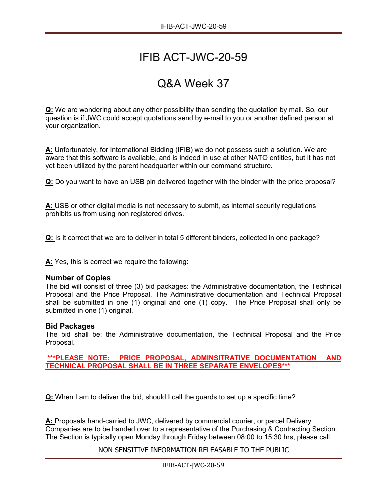# IFIB ACT-JWC-20-59

## Q&A Week 37

**Q:** We are wondering about any other possibility than sending the quotation by mail. So, our question is if JWC could accept quotations send by e-mail to you or another defined person at your organization.

**A:** Unfortunately, for International Bidding (IFIB) we do not possess such a solution. We are aware that this software is available, and is indeed in use at other NATO entities, but it has not yet been utilized by the parent headquarter within our command structure.

**Q:** Do you want to have an USB pin delivered together with the binder with the price proposal?

**A:** USB or other digital media is not necessary to submit, as internal security regulations prohibits us from using non registered drives.

**Q:** Is it correct that we are to deliver in total 5 different binders, collected in one package?

**A:** Yes, this is correct we require the following:

### **Number of Copies**

The bid will consist of three (3) bid packages: the Administrative documentation, the Technical Proposal and the Price Proposal. The Administrative documentation and Technical Proposal shall be submitted in one (1) original and one (1) copy. The Price Proposal shall only be submitted in one (1) original.

### **Bid Packages**

The bid shall be: the Administrative documentation, the Technical Proposal and the Price Proposal.

**\*\*\*PLEASE NOTE: PRICE PROPOSAL, ADMINSITRATIVE DOCUMENTATION AND TECHNICAL PROPOSAL SHALL BE IN THREE SEPARATE ENVELOPES\*\*\***

**Q:** When I am to deliver the bid, should I call the guards to set up a specific time?

**A:** Proposals hand-carried to JWC, delivered by commercial courier, or parcel Delivery Companies are to be handed over to a representative of the Purchasing & Contracting Section. The Section is typically open Monday through Friday between 08:00 to 15:30 hrs, please call

### NON SENSITIVE INFORMATION RELEASABLE TO THE PUBLIC